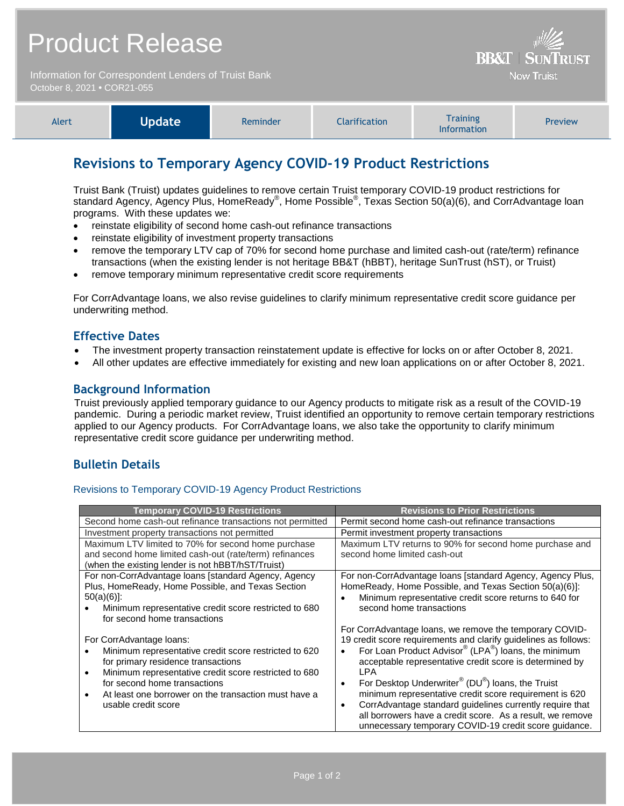## Product Release

Information for Correspondent Lenders of Truist Bank October 8, 2021 **•** COR21-055



| Alert | <b>Update</b> | Reminder | <b>Clarification</b> | <b>Training</b><br><b>Information</b> | <b>Preview</b> |
|-------|---------------|----------|----------------------|---------------------------------------|----------------|
|-------|---------------|----------|----------------------|---------------------------------------|----------------|

## **Revisions to Temporary Agency COVID-19 Product Restrictions**

Truist Bank (Truist) updates guidelines to remove certain Truist temporary COVID-19 product restrictions for standard Agency, Agency Plus, HomeReady®, Home Possible®, Texas Section 50(a)(6), and CorrAdvantage loan programs. With these updates we:

- reinstate eligibility of second home cash-out refinance transactions
- reinstate eligibility of investment property transactions
- remove the temporary LTV cap of 70% for second home purchase and limited cash-out (rate/term) refinance transactions (when the existing lender is not heritage BB&T (hBBT), heritage SunTrust (hST), or Truist)
- remove temporary minimum representative credit score requirements

For CorrAdvantage loans, we also revise guidelines to clarify minimum representative credit score guidance per underwriting method.

### **Effective Dates**

- The investment property transaction reinstatement update is effective for locks on or after October 8, 2021.
- All other updates are effective immediately for existing and new loan applications on or after October 8, 2021.

### **Background Information**

Truist previously applied temporary guidance to our Agency products to mitigate risk as a result of the COVID-19 pandemic. During a periodic market review, Truist identified an opportunity to remove certain temporary restrictions applied to our Agency products. For CorrAdvantage loans, we also take the opportunity to clarify minimum representative credit score guidance per underwriting method.

### **Bulletin Details**

### Revisions to Temporary COVID-19 Agency Product Restrictions

| <b>Temporary COVID-19 Restrictions</b>                                                                                                                                                                                                                                                                                    | <b>Revisions to Prior Restrictions</b>                                                                                                                                                                                                                                                                                                                                                                                                                                                                                                                                                                  |  |  |
|---------------------------------------------------------------------------------------------------------------------------------------------------------------------------------------------------------------------------------------------------------------------------------------------------------------------------|---------------------------------------------------------------------------------------------------------------------------------------------------------------------------------------------------------------------------------------------------------------------------------------------------------------------------------------------------------------------------------------------------------------------------------------------------------------------------------------------------------------------------------------------------------------------------------------------------------|--|--|
| Second home cash-out refinance transactions not permitted                                                                                                                                                                                                                                                                 | Permit second home cash-out refinance transactions                                                                                                                                                                                                                                                                                                                                                                                                                                                                                                                                                      |  |  |
| Investment property transactions not permitted                                                                                                                                                                                                                                                                            | Permit investment property transactions                                                                                                                                                                                                                                                                                                                                                                                                                                                                                                                                                                 |  |  |
| Maximum LTV limited to 70% for second home purchase                                                                                                                                                                                                                                                                       | Maximum LTV returns to 90% for second home purchase and                                                                                                                                                                                                                                                                                                                                                                                                                                                                                                                                                 |  |  |
| and second home limited cash-out (rate/term) refinances                                                                                                                                                                                                                                                                   | second home limited cash-out                                                                                                                                                                                                                                                                                                                                                                                                                                                                                                                                                                            |  |  |
| (when the existing lender is not hBBT/hST/Truist)                                                                                                                                                                                                                                                                         |                                                                                                                                                                                                                                                                                                                                                                                                                                                                                                                                                                                                         |  |  |
| For non-CorrAdvantage loans [standard Agency, Agency<br>Plus, HomeReady, Home Possible, and Texas Section<br>$50(a)(6)$ :<br>Minimum representative credit score restricted to 680<br>for second home transactions                                                                                                        | For non-CorrAdvantage loans [standard Agency, Agency Plus,<br>HomeReady, Home Possible, and Texas Section 50(a)(6)]:<br>Minimum representative credit score returns to 640 for<br>second home transactions                                                                                                                                                                                                                                                                                                                                                                                              |  |  |
| For CorrAdvantage loans:<br>Minimum representative credit score restricted to 620<br>for primary residence transactions<br>Minimum representative credit score restricted to 680<br>$\bullet$<br>for second home transactions<br>At least one borrower on the transaction must have a<br>$\bullet$<br>usable credit score | For CorrAdvantage loans, we remove the temporary COVID-<br>19 credit score requirements and clarify guidelines as follows:<br>For Loan Product Advisor® (LPA®) loans, the minimum<br>acceptable representative credit score is determined by<br>LPA.<br>For Desktop Underwriter <sup>®</sup> (DU <sup>®</sup> ) loans, the Truist<br>$\bullet$<br>minimum representative credit score requirement is 620<br>CorrAdvantage standard guidelines currently require that<br>$\bullet$<br>all borrowers have a credit score. As a result, we remove<br>unnecessary temporary COVID-19 credit score quidance. |  |  |